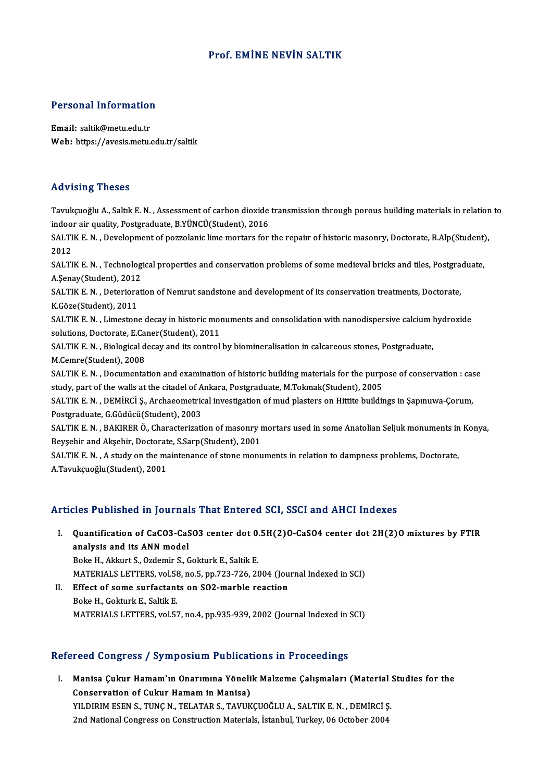# Prof. EMİNE NEVİN SALTIK

# Personal Information

Personal Information<br>Email: saltik@metu.edu.tr<br>Web: https://avesis.mstu Email: saltik@metu.edu.tr<br>Web: https://avesis.metu.edu.tr/saltik

## Advising Theses

Tavukçuoğlu A., Saltık E.N., Assessment of carbon dioxide transmission through porous building materials in relation to indoor air quality, Postgraduate, B.YÜNCÜ(Student), 2016 Tavukçuoğlu A., Saltık E. N. , Assessment of carbon dioxide transmission through porous building materials in relation<br>indoor air quality, Postgraduate, B.YÜNCÜ(Student), 2016<br>SALTIK E. N. , Development of pozzolanic lime

indoo<br>SALTI<br>2012<br>SALTI SALTIK E. N. , Development of pozzolanic lime mortars for the repaiır of historic masonry, Doctorate, B.Alp(Student)<br>2012<br>SALTIK E. N. , Technological properties and conservation problems of some medieval bricks and tiles,

2012<br>SALTIK E. N. , Technolog<br>A.Şenay(Student), 2012<br>SALTIK E. N. - Deterierat SALTIK E. N. , Technological properties and conservation problems of some medieval bricks and tiles, Postgrad<br>.Senay(Student), 2012<br>SALTIK E. N. , Deterioration of Nemrut sandstone and development of its conservation treat

A.Şenay(Student), 2012<br>SALTIK E. N. , Deterioration of Nemrut sandstone and development of its conservation treatments, Doctorate,<br>K.Göze(Student), 2011 SALTIK E. N. , Deterioration of Nemrut sandstone and development of its conservation treatments, Doctorate,<br>K.Göze(Student), 2011<br>SALTIK E. N. , Limestone decay in historic monuments and consolidation with nanodispersive c

K.Göze(Student), 2011<br>SALTIK E. N. , Limestone decay in historic mor<br>solutions, Doctorate, E.Caner(Student), 2011<br>SALTIK E. N. , Bialogical decay and its control SALTIK E. N. , Limestone decay in historic monuments and consolidation with nanodispersive calcium l<br>solutions, Doctorate, E.Caner(Student), 2011<br>SALTIK E. N. , Biological decay and its control by biomineralisation in calc

solutions, Doctorate, E.Caner(Student), 2011<br>SALTIK E. N. , Biological decay and its control by biomineralisation in calcareous stones, Postgraduate,<br>M.Cemre(Student), 2008 SALTIK E. N. , Biological decay and its control by biomineralisation in calcareous stones, Postgraduate,<br>M.Cemre(Student), 2008<br>SALTIK E. N. , Documentation and examination of historic building materials for the purpose of

M.Cemre(Student), 2008<br>SALTIK E. N. , Documentation and examination of historic building materials for the purp<br>study, part of the walls at the citadel of Ankara, Postgraduate, M.Tokmak(Student), 2005<br>SALTIK E. N. , DEMIRC SALTIK E. N. , Documentation and examination of historic building materials for the purpose of conservation : cas<br>study, part of the walls at the citadel of Ankara, Postgraduate, M.Tokmak(Student), 2005<br>SALTIK E. N. , DEMİ

study, part of the walls at the citadel of Ankara, Postgraduate, M.Tokmak(Student), 2005<br>SALTIK E. N. , DEMIRCI Ș., Archaeometrical investigation of mud plasters on Hittite buildings in Șapınuwa-Çorum,<br>Postgraduate, G.Güdü SALTIK E. N. , DEMİRCİ Ş., Archaeometrical investigation of mud plasters on Hittite buildings in Şapınuwa-Çorum,<br>Postgraduate, G.Güdücü(Student), 2003<br>SALTIK E. N. , BAKIRER Ö., Characterization of masonry mortars used in

Postgraduate, G.Güdücü(Student), 2003<br>SALTIK E. N. , BAKIRER Ö., Characterization of masonry r<br>Beyşehir and Akşehir, Doctorate, S.Sarp(Student), 2001<br>SALTIK E. N. , A study on the maintenance of stane monu SALTIK E. N. , BAKIRER Ö., Characterization of masonry mortars used in some Anatolian Seljuk monuments in<br>Beyşehir and Akşehir, Doctorate, S.Sarp(Student), 2001<br>SALTIK E. N. , A study on the maintenance of stone monuments

Beyşehir and Akşehir, Doctorat<br>SALTIK E. N. , A study on the ma<br>A.Tavukçuoğlu(Student), 2001

# A.Tavukçuoğlu(Student), 2001<br>Articles Published in Journals That Entered SCI, SSCI and AHCI Indexes

rticles Published in Journals That Entered SCI, SSCI and AHCI Indexes<br>I. Quantification of CaCO3-CaSO3 center dot 0.5H(2)O-CaSO4 center dot 2H(2)O mixtures by FTIR<br>analysis and its ANN model Second and its ANN model<br>Quantification of CaCO3-CaS<br>analysis and its ANN model<br>Boke H. Aldrut S. Ordemin S. C Quantification of CaCO3-CaSO3 center dot 0.<br>analysis and its ANN model<br>Boke H., Akkurt S., Ozdemir S., Gokturk E., Saltik E.<br>MATERIALS LETTERS vol 59 no 5 nn 722 726 26 analysis and its ANN model<br>Boke H., Akkurt S., Ozdemir S., Gokturk E., Saltik E.<br>MATERIALS LETTERS, vol.58, no.5, pp.723-726, 2004 (Journal Indexed in SCI)<br>Effect of some surfectants on SQ2 morble reastion

Boke H., Akkurt S., Ozdemir S., Gokturk E., Saltik E.<br>MATERIALS LETTERS, vol.58, no.5, pp.723-726, 2004 (Jou<br>II. Effect of some surfactants on SO2-marble reaction<br>Boke H., Gokturk E., Saltik E. MATERIALS LETTERS, vol.58<br>Effect of some surfactant<br>Boke H., Gokturk E., Saltik E.<br>MATERIALS LETTERS vol.57 MATERIALS LETTERS, vol.57, no.4, pp.935-939, 2002 (Journal Indexed in SCI)

## Refereed Congress / Symposium Publications in Proceedings

efereed Congress / Symposium Publications in Proceedings<br>I. Manisa Çukur Hamam'ın Onarımına Yönelik Malzeme Çalışmaları (Material Studies for the<br>Conservation of Culur Hamam in Manisa) Conservation of Cympodium i udiode<br>Manisa Çukur Hamam'ın Onarımına Yöneli<br>Conservation of Cukur Hamam in Manisa)<br>VILDIPIM ECEN S. TUNG N. TELATAR S. TAVUK Manisa Çukur Hamam'ın Onarımına Yönelik Malzeme Çalışmaları (Material :<br>Conservation of Cukur Hamam in Manisa)<br>YILDIRIM ESEN S., TUNÇ N., TELATAR S., TAVUKÇUOĞLU A., SALTIK E. N. , DEMİRCİ Ş.<br>2nd National Congress en Const Conservation of Cukur Hamam in Manisa)<br>YILDIRIM ESEN S., TUNÇ N., TELATAR S., TAVUKÇUOĞLU A., SALTIK E. N. , DEMİRCİ Ş<br>2nd National Congress on Construction Materials, İstanbul, Turkey, 06 October 2004